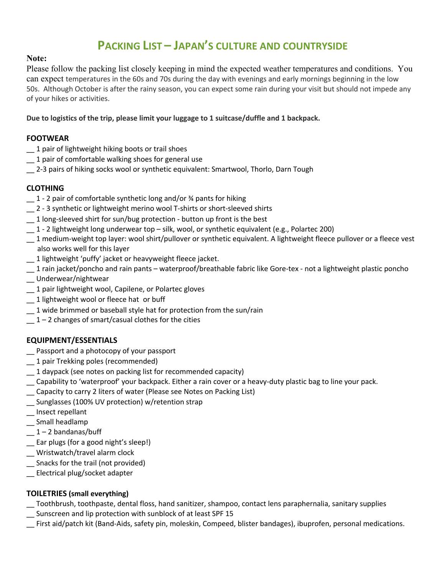# **PACKING LIST – JAPAN'S CULTURE AND COUNTRYSIDE**

#### **Note:**

Please follow the packing list closely keeping in mind the expected weather temperatures and conditions. You can expect temperatures in the 60s and 70s during the day with evenings and early mornings beginning in the low 50s. Although October is after the rainy season, you can expect some rain during your visit but should not impede any of your hikes or activities.

**Due to logistics of the trip, please limit your luggage to 1 suitcase/duffle and 1 backpack.** 

### **FOOTWEAR**

- \_\_ 1 pair of lightweight hiking boots or trail shoes
- \_\_ 1 pair of comfortable walking shoes for general use
- \_\_ 2-3 pairs of hiking socks wool or synthetic equivalent: Smartwool, Thorlo, Darn Tough

## **CLOTHING**

- $-1$  2 pair of comfortable synthetic long and/or  $\frac{3}{4}$  pants for hiking
- \_\_ 2 3 synthetic or lightweight merino wool T-shirts or short-sleeved shirts
- 1 long-sleeved shirt for sun/bug protection button up front is the best
- \_\_ 1 2 lightweight long underwear top silk, wool, or synthetic equivalent (e.g., Polartec 200)
- $-1$  medium-weight top layer: wool shirt/pullover or synthetic equivalent. A lightweight fleece pullover or a fleece vest also works well for this layer
- \_\_ 1 lightweight 'puffy' jacket or heavyweight fleece jacket.
- \_\_ 1 rain jacket/poncho and rain pants waterproof/breathable fabric like Gore-tex not a lightweight plastic poncho
- \_\_ Underwear/nightwear
- \_\_ 1 pair lightweight wool, Capilene, or Polartec gloves
- \_\_ 1 lightweight wool or fleece hat or buff
- $-1$  wide brimmed or baseball style hat for protection from the sun/rain
- $1 2$  changes of smart/casual clothes for the cities

# **EQUIPMENT/ESSENTIALS**

- \_\_ Passport and a photocopy of your passport
- \_\_ 1 pair Trekking poles (recommended)
- \_\_ 1 daypack (see notes on packing list for recommended capacity)
- \_\_ Capability to 'waterproof' your backpack. Either a rain cover or a heavy-duty plastic bag to line your pack.
- \_\_ Capacity to carry 2 liters of water (Please see Notes on Packing List)
- \_\_ Sunglasses (100% UV protection) w/retention strap
- \_\_ Insect repellant
- \_\_ Small headlamp
- $-1 2$  bandanas/buff
- \_\_ Ear plugs (for a good night's sleep!)
- \_\_ Wristwatch/travel alarm clock
- \_\_ Snacks for the trail (not provided)
- \_\_ Electrical plug/socket adapter

### **TOILETRIES (small everything)**

- \_\_ Toothbrush, toothpaste, dental floss, hand sanitizer, shampoo, contact lens paraphernalia, sanitary supplies
- \_\_ Sunscreen and lip protection with sunblock of at least SPF 15
- \_\_ First aid/patch kit (Band-Aids, safety pin, moleskin, Compeed, blister bandages), ibuprofen, personal medications.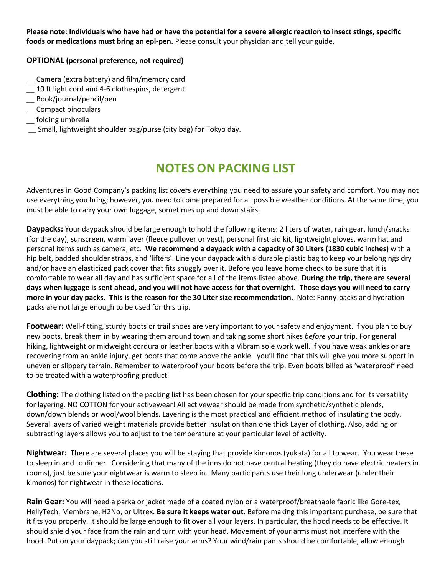**Please note: Individuals who have had or have the potential for a severe allergic reaction to insect stings, specific foods or medications must bring an epi-pen.** Please consult your physician and tell your guide.

#### **OPTIONAL (personal preference, not required)**

- \_\_ Camera (extra battery) and film/memory card
- \_\_ 10 ft light cord and 4-6 clothespins, detergent
- \_\_ Book/journal/pencil/pen
- \_\_ Compact binoculars
- \_\_ folding umbrella
- \_\_ Small, lightweight shoulder bag/purse (city bag) for Tokyo day.

# **NOTES ON PACKING LIST**

Adventures in Good Company's packing list covers everything you need to assure your safety and comfort. You may not use everything you bring; however, you need to come prepared for all possible weather conditions. At the same time, you must be able to carry your own luggage, sometimes up and down stairs.

**Daypacks:** Your daypack should be large enough to hold the following items: 2 liters of water, rain gear, lunch/snacks (for the day), sunscreen, warm layer (fleece pullover or vest), personal first aid kit, lightweight gloves, warm hat and personal items such as camera, etc. **We recommend a daypack with a capacity of 30 Liters (1830 cubic inches)** with a hip belt, padded shoulder straps, and 'lifters'. Line your daypack with a durable plastic bag to keep your belongings dry and/or have an elasticized pack cover that fits snuggly over it. Before you leave home check to be sure that it is comfortable to wear all day and has sufficient space for all of the items listed above. **During the trip, there are several days when luggage is sent ahead, and you will not have access for that overnight. Those days you will need to carry more in your day packs. This is the reason for the 30 Liter size recommendation.** Note: Fanny-packs and hydration packs are not large enough to be used for this trip.

**Footwear:** Well-fitting, sturdy boots or trail shoes are very important to your safety and enjoyment. If you plan to buy new boots, break them in by wearing them around town and taking some short hikes *before* your trip. For general hiking, lightweight or midweight cordura or leather boots with a Vibram sole work well. If you have weak ankles or are recovering from an ankle injury, get boots that come above the ankle– you'll find that this will give you more support in uneven or slippery terrain. Remember to waterproof your boots before the trip. Even boots billed as 'waterproof' need to be treated with a waterproofing product.

**Clothing:** The clothing listed on the packing list has been chosen for your specific trip conditions and for its versatility for layering. NO COTTON for your activewear! All activewear should be made from synthetic/synthetic blends, down/down blends or wool/wool blends. Layering is the most practical and efficient method of insulating the body. Several layers of varied weight materials provide better insulation than one thick Layer of clothing. Also, adding or subtracting layers allows you to adjust to the temperature at your particular level of activity.

**Nightwear:** There are several places you will be staying that provide kimonos (yukata) for all to wear. You wear these to sleep in and to dinner. Considering that many of the inns do not have central heating (they do have electric heaters in rooms), just be sure your nightwear is warm to sleep in. Many participants use their long underwear (under their kimonos) for nightwear in these locations.

**Rain Gear:** You will need a parka or jacket made of a coated nylon or a waterproof/breathable fabric like Gore-tex, HellyTech, Membrane, H2No, or Ultrex. **Be sure it keeps water out**. Before making this important purchase, be sure that it fits you properly. It should be large enough to fit over all your layers. In particular, the hood needs to be effective. It should shield your face from the rain and turn with your head. Movement of your arms must not interfere with the hood. Put on your daypack; can you still raise your arms? Your wind/rain pants should be comfortable, allow enough